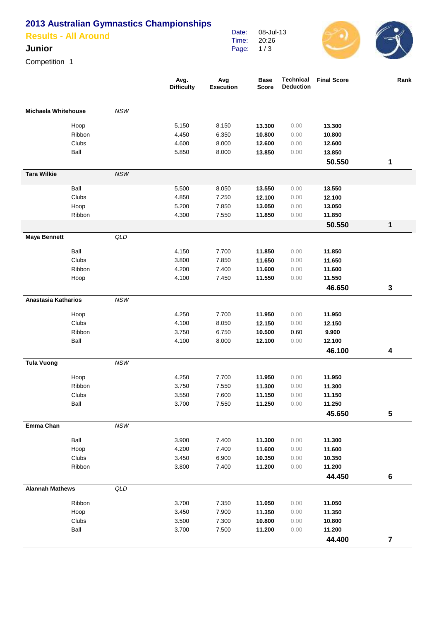## **2013 Australian Gymnastics Championships**

| <b>Results - All Around</b> | Date:<br>Time: | 08-Jul-13<br>20:26 | $\sim$ |
|-----------------------------|----------------|--------------------|--------|
| Junior                      | Page: $1/3$    |                    |        |

Competition 1

|                            |        |                | Avg.<br><b>Difficulty</b> | Avg<br><b>Execution</b> | <b>Base</b><br><b>Score</b> | <b>Technical</b><br><b>Deduction</b> | <b>Final Score</b> | Rank                    |
|----------------------------|--------|----------------|---------------------------|-------------------------|-----------------------------|--------------------------------------|--------------------|-------------------------|
| <b>Michaela Whitehouse</b> |        | <b>NSW</b>     |                           |                         |                             |                                      |                    |                         |
|                            | Hoop   |                | 5.150                     | 8.150                   | 13.300                      | 0.00                                 | 13.300             |                         |
|                            | Ribbon |                | 4.450                     | 6.350                   | 10.800                      | 0.00                                 | 10.800             |                         |
|                            | Clubs  |                | 4.600                     | 8.000                   | 12.600                      | 0.00                                 | 12.600             |                         |
|                            | Ball   |                | 5.850                     | 8.000                   | 13.850                      | 0.00                                 | 13.850             |                         |
|                            |        |                |                           |                         |                             |                                      | 50.550             | 1                       |
| <b>Tara Wilkie</b>         |        | NSW            |                           |                         |                             |                                      |                    |                         |
|                            | Ball   |                | 5.500                     | 8.050                   | 13.550                      | 0.00                                 | 13.550             |                         |
|                            | Clubs  |                | 4.850                     | 7.250                   | 12.100                      | 0.00                                 | 12.100             |                         |
|                            | Hoop   |                | 5.200                     | 7.850                   | 13.050                      | 0.00                                 | 13.050             |                         |
|                            | Ribbon |                | 4.300                     | 7.550                   | 11.850                      | 0.00                                 | 11.850             |                         |
|                            |        |                |                           |                         |                             |                                      | 50.550             | 1                       |
| <b>Maya Bennett</b>        |        | QLD            |                           |                         |                             |                                      |                    |                         |
|                            | Ball   |                | 4.150                     | 7.700                   | 11.850                      | 0.00                                 | 11.850             |                         |
|                            | Clubs  |                | 3.800                     | 7.850                   | 11.650                      | 0.00                                 | 11.650             |                         |
|                            | Ribbon |                | 4.200                     | 7.400                   | 11.600                      | 0.00                                 | 11.600             |                         |
|                            | Hoop   |                | 4.100                     | 7.450                   | 11.550                      | 0.00                                 | 11.550             |                         |
|                            |        |                |                           |                         |                             |                                      | 46.650             | $\mathbf 3$             |
| Anastasia Katharios        |        | <b>NSW</b>     |                           |                         |                             |                                      |                    |                         |
|                            | Hoop   |                | 4.250                     | 7.700                   | 11.950                      | 0.00                                 | 11.950             |                         |
|                            | Clubs  |                | 4.100                     | 8.050                   | 12.150                      | 0.00                                 | 12.150             |                         |
|                            | Ribbon |                | 3.750                     | 6.750                   | 10.500                      | 0.60                                 | 9.900              |                         |
|                            | Ball   |                | 4.100                     | 8.000                   | 12.100                      | 0.00                                 | 12.100             |                         |
|                            |        |                |                           |                         |                             |                                      | 46.100             | 4                       |
| <b>Tula Vuong</b>          |        | NSW            |                           |                         |                             |                                      |                    |                         |
|                            | Hoop   |                | 4.250                     | 7.700                   | 11.950                      | 0.00                                 | 11.950             |                         |
|                            | Ribbon |                | 3.750                     | 7.550                   | 11.300                      | 0.00                                 | 11.300             |                         |
|                            | Clubs  |                | 3.550                     | 7.600                   | 11.150                      | 0.00                                 | 11.150             |                         |
|                            | Ball   |                | 3.700                     | 7.550                   | 11.250                      | 0.00                                 | 11.250             |                         |
|                            |        |                |                           |                         |                             |                                      | 45.650             | 5                       |
| Emma Chan                  |        | NSW            |                           |                         |                             |                                      |                    |                         |
|                            | Ball   |                | 3.900                     | 7.400                   | 11.300                      | 0.00                                 | 11.300             |                         |
|                            | Hoop   |                | 4.200                     | 7.400                   | 11.600                      | 0.00                                 | 11.600             |                         |
|                            | Clubs  |                | 3.450                     | 6.900                   | 10.350                      | 0.00                                 | 10.350             |                         |
|                            | Ribbon |                | 3.800                     | 7.400                   | 11.200                      | 0.00                                 | 11.200             |                         |
|                            |        |                |                           |                         |                             |                                      | 44.450             | 6                       |
| <b>Alannah Mathews</b>     |        | $\mathsf{QLD}$ |                           |                         |                             |                                      |                    |                         |
|                            | Ribbon |                | 3.700                     | 7.350                   | 11.050                      | 0.00                                 | 11.050             |                         |
|                            | Hoop   |                | 3.450                     | 7.900                   | 11.350                      | 0.00                                 | 11.350             |                         |
|                            | Clubs  |                | 3.500                     | 7.300                   | 10.800                      | 0.00                                 | 10.800             |                         |
|                            | Ball   |                | 3.700                     | 7.500                   | 11.200                      | 0.00                                 | 11.200             |                         |
|                            |        |                |                           |                         |                             |                                      | 44.400             | $\overline{\mathbf{7}}$ |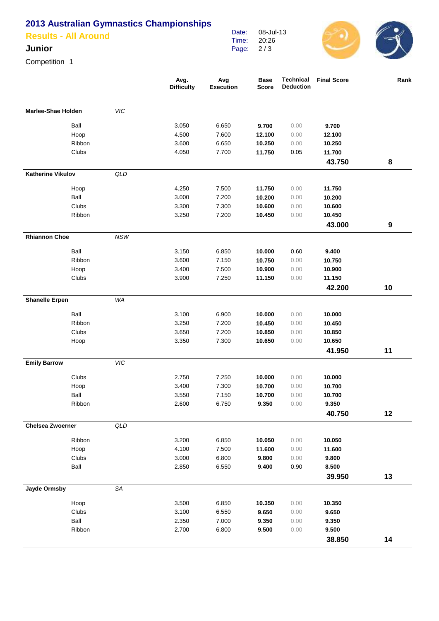## **2013 Australian Gymnastics Championships**

| <b>Results - All Around</b> |  |  |  |
|-----------------------------|--|--|--|

## **Junior**

Competition 1

|                           |        |                | Avg.<br><b>Difficulty</b> | Avg<br><b>Execution</b> | <b>Base</b><br><b>Score</b> | <b>Technical</b><br><b>Deduction</b> | <b>Final Score</b> | Rank |
|---------------------------|--------|----------------|---------------------------|-------------------------|-----------------------------|--------------------------------------|--------------------|------|
| <b>Marlee-Shae Holden</b> |        | <b>VIC</b>     |                           |                         |                             |                                      |                    |      |
|                           | Ball   |                | 3.050                     | 6.650                   | 9.700                       | 0.00                                 | 9.700              |      |
|                           | Hoop   |                | 4.500                     | 7.600                   | 12.100                      | 0.00                                 | 12.100             |      |
|                           | Ribbon |                | 3.600                     | 6.650                   | 10.250                      | 0.00                                 | 10.250             |      |
|                           | Clubs  |                | 4.050                     | 7.700                   | 11.750                      | 0.05                                 | 11.700             |      |
|                           |        |                |                           |                         |                             |                                      | 43.750             | 8    |
| <b>Katherine Vikulov</b>  |        | QLD            |                           |                         |                             |                                      |                    |      |
|                           | Hoop   |                | 4.250                     | 7.500                   | 11.750                      | 0.00                                 | 11.750             |      |
|                           | Ball   |                | 3.000                     | 7.200                   | 10.200                      | 0.00                                 | 10.200             |      |
|                           | Clubs  |                | 3.300                     | 7.300                   | 10.600                      | 0.00                                 | 10.600             |      |
|                           | Ribbon |                | 3.250                     | 7.200                   | 10.450                      | 0.00                                 | 10.450             |      |
|                           |        |                |                           |                         |                             |                                      | 43.000             | 9    |
| <b>Rhiannon Choe</b>      |        | <b>NSW</b>     |                           |                         |                             |                                      |                    |      |
|                           | Ball   |                | 3.150                     | 6.850                   | 10.000                      | 0.60                                 | 9.400              |      |
|                           | Ribbon |                | 3.600                     | 7.150                   | 10.750                      | 0.00                                 | 10.750             |      |
|                           | Hoop   |                | 3.400                     | 7.500                   | 10.900                      | 0.00                                 | 10.900             |      |
|                           | Clubs  |                | 3.900                     | 7.250                   | 11.150                      | 0.00                                 | 11.150             |      |
|                           |        |                |                           |                         |                             |                                      | 42.200             | 10   |
| <b>Shanelle Erpen</b>     |        | WA             |                           |                         |                             |                                      |                    |      |
|                           | Ball   |                | 3.100                     | 6.900                   | 10.000                      | 0.00                                 | 10.000             |      |
|                           | Ribbon |                | 3.250                     | 7.200                   | 10.450                      | 0.00                                 | 10.450             |      |
|                           | Clubs  |                | 3.650                     | 7.200                   | 10.850                      | 0.00                                 | 10.850             |      |
|                           | Hoop   |                | 3.350                     | 7.300                   | 10.650                      | 0.00                                 | 10.650             |      |
|                           |        |                |                           |                         |                             |                                      | 41.950             | 11   |
| <b>Emily Barrow</b>       |        | VIC            |                           |                         |                             |                                      |                    |      |
|                           | Clubs  |                | 2.750                     | 7.250                   | 10.000                      | 0.00                                 | 10.000             |      |
|                           | Hoop   |                | 3.400                     | 7.300                   | 10.700                      | 0.00                                 | 10.700             |      |
|                           | Ball   |                | 3.550                     | 7.150                   | 10.700                      | 0.00                                 | 10.700             |      |
|                           | Ribbon |                | 2.600                     | 6.750                   | 9.350                       | 0.00                                 | 9.350              |      |
|                           |        |                |                           |                         |                             |                                      | 40.750             | 12   |
| <b>Chelsea Zwoerner</b>   |        | $\mathsf{QLD}$ |                           |                         |                             |                                      |                    |      |
|                           | Ribbon |                | 3.200                     | 6.850                   | 10.050                      | 0.00                                 | 10.050             |      |
|                           | Hoop   |                | 4.100                     | 7.500                   | 11.600                      | 0.00                                 | 11.600             |      |
|                           | Clubs  |                | 3.000                     | 6.800                   | 9.800                       | 0.00                                 | 9.800              |      |
|                           | Ball   |                | 2.850                     | 6.550                   | 9.400                       | 0.90                                 | 8.500              |      |
|                           |        |                |                           |                         |                             |                                      | 39.950             | 13   |
| Jayde Ormsby              |        | SA             |                           |                         |                             |                                      |                    |      |
|                           | Hoop   |                | 3.500                     | 6.850                   | 10.350                      | 0.00                                 | 10.350             |      |
|                           | Clubs  |                | 3.100                     | 6.550                   | 9.650                       | 0.00                                 | 9.650              |      |
|                           | Ball   |                | 2.350                     | 7.000                   | 9.350                       | 0.00                                 | 9.350              |      |
|                           | Ribbon |                | 2.700                     | 6.800                   | 9.500                       | 0.00                                 | 9.500              |      |
|                           |        |                |                           |                         |                             |                                      | 38.850             | 14   |

Date: Time: Page: 08-Jul-13 20:26 2 / 3

 $\bigodot$